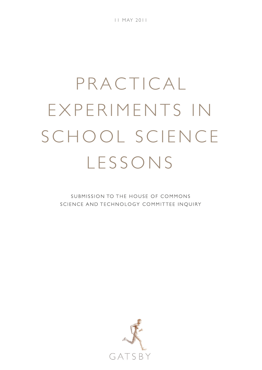11 MAY 2011

# PRACTICAL EXPERIMENTS IN SCHOOL SCIENCE LESSONS

SUBMISSION TO THE HOUSE OF COMMONS SCIENCE AND TECHNOLOGY COMMITTEE INQUIRY

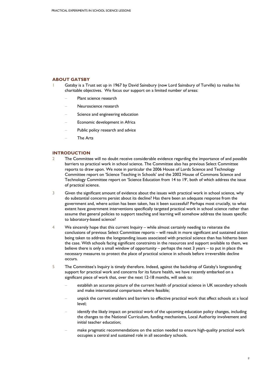# **ABOUT GATSBY**

- Gatsby is a Trust set up in 1967 by David Sainsbury (now Lord Sainsbury of Turville) to realise his charitable objectives. We focus our support on a limited number of areas:
	- Plant science research
	- − Neuroscience research
	- Science and engineering education
	- Economic development in Africa
	- Public policy research and advice
	- − The Arts

# **INTRODUCTION**

- 2 The Committee will no doubt receive considerable evidence regarding the importance of and possible barriers to practical work in school science. The Committee also has previous Select Committee reports to draw upon. We note in particular the 2006 House of Lords Science and Technology Committee report on 'Science Teaching in Schools' and the 2002 House of Commons Science and Technology Committee report on 'Science Education from 14 to 19', both of which address the issue of practical science.
- 3 Given the significant amount of evidence about the issues with practical work in school science, why do substantial concerns persist about its decline? Has there been an adequate response from the government and, where action has been taken, has it been successful? Perhaps most crucially, to what extent have government interventions specifically targeted practical work in school science rather than assume that general policies to support teaching and learning will somehow address the issues specific to laboratory-based science?
- 4 We sincerely hope that this current Inquiry while almost certainly needing to reiterate the conclusions of previous Select Committee reports – will result in more significant and sustained action being taken to address the longstanding issues associated with practical science than has hitherto been the case. With schools facing significant constraints in the resources and support available to them, we believe there is only a small window of opportunity – perhaps the next 3 years – to put in place the necessary measures to protect the place of practical science in schools before irreversible decline occurs.
- 5 The Committee's Inquiry is timely therefore. Indeed, against the backdrop of Gatsby's longstanding support for practical work and concerns for its future health, we have recently embarked on a significant piece of work that, over the next 12-18 months, will seek to:
	- establish an accurate picture of the current health of practical science in UK secondary schools and make international comparisons where feasible;
	- unpick the current enablers and barriers to effective practical work that affect schools at a local level;
	- identify the likely impact on practical work of the upcoming education policy changes, including the changes to the National Curriculum, funding mechanisms, Local Authority involvement and initial teacher education;
	- make pragmatic recommendations on the action needed to ensure high-quality practical work occupies a central and sustained role in all secondary schools.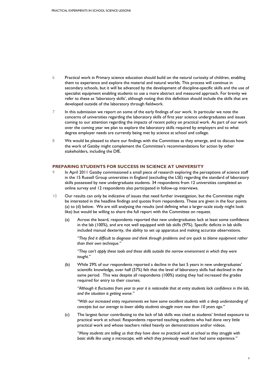- 6 Practical work in Primary science education should build on the natural curiosity of children, enabling them to experience and explore the material and natural worlds. This process will continue in secondary schools, but it will be advanced by the development of discipline-specific skills and the use of specialist equipment enabling students to use a more abstract and measured approach. For brevity we refer to these as 'laboratory skills', although noting that this definition should include the skills that are developed outside of the laboratory through fieldwork.
- 7 In this submission we report on some of the early findings of our work. In particular we note the concerns of universities regarding the laboratory skills of first year science undergraduates and issues coming to our attention regarding the impacts of recent policy on practical work. As part of our work over the coming year we plan to explore the laboratory skills required by employers and to what degree employer needs are currently being met by science at school and college.
- 8 We would be pleased to share our findings with the Committee as they emerge, and to discuss how the work of Gatsby might complement the Committee's recommendations for action by other stakeholders, including the DfE.

### **PREPARING STUDENTS FOR SUCCESS IN SCIENCE AT UNIVERSITY**

- 9 In April 2011 Gatsby commissioned a small piece of research exploring the perceptions of science staff in the 15 Russell Group universities in England (excluding the LSE) regarding the standard of laboratory skills possessed by new undergraduate students. 34 respondents from 12 universities completed an online survey and 12 respondents also participated in follow-up interviews.
- 10 Our results can only be indicative of issues that need further investigation, but the Committee might be interested in the headline findings and quotes from respondents. These are given in the four points (a) to (d) below. We are still analysing the results (and defining what a larger-scale study might look like) but would be willing to share the full report with the Committee on request.
	- (a) Across the board, respondents reported that new undergraduates lack at least some confidence in the lab (100%), and are not well equipped with lab skills (97%). Specific deficits in lab skills included manual dexterity, the ability to set up apparatus and making accurate observations.

*"They find it difficult to diagnose and think through problems and are quick to blame equipment rather than their own technique."* 

*"They can't apply these tools and these skills outside the narrow environment in which they were taught."* 

(b) While 29% of our respondents reported a decline in the last 5 years in new undergraduates' scientific knowledge, over half (57%) felt that the level of laboratory skills had declined in the same period. This was despite all respondents (100%) stating they had increased the grades required for entry to their courses.

*"Although it fluctuates from year to year it is noticeable that at entry students lack confidence in the lab, and the situation is getting worse."* 

*"With our increased entry requirements we have some excellent students with a deep understanding of concepts but our average to lower ability students struggle more now than 10 years ago."* 

(c) The largest factor contributing to the lack of lab skills was cited as students' limited exposure to practical work at school. Respondents reported teaching students who had done very little practical work and whose teachers relied heavily on demonstrations and/or videos.

*"Many students are telling us that they have done no practical work at school so they struggle with basic skills like using a microscope, with which they previously would have had some experience."*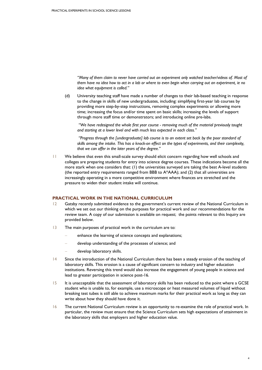*"Many of them claim to never have carried out an experiment only watched teacher/videos of. Most of them have no idea how to act in a lab or where to even begin when carrying out an experiment, ie no idea what equipment is called."* 

(d) University teaching staff have made a number of changes to their lab-based teaching in response to the change in skills of new undergraduates, including: simplifying first-year lab courses by providing more step-by-step instructions, removing complex experiments or allowing more time; increasing the focus and/or time spent on basic skills; increasing the levels of support through more staff time or demonstrators; and introducing online pre-labs.

 *"We have redesigned the whole first year course - removing much of the material previously taught and starting at a lower level and with much less expected in each class."* 

 *"Progress through the [undergraduate] lab course is to an extent set back by the poor standard of skills among the intake. This has a knock-on effect on the types of experiments, and their complexity, that we can offer in the later years of the degree."* 

11 We believe that even this small-scale survey should elicit concern regarding how well schools and colleges are preparing students for entry into science degree courses. These indications become all the more stark when one considers that: (1) the universities surveyed are taking the best A-level students (the reported entry requirements ranged from BBB to A\*AAA); and (2) that all universities are increasingly operating in a more competitive environment where finances are stretched and the pressure to widen their student intake will continue.

### **PRACTICAL WORK IN THE NATIONAL CURRICULUM**

- 12 Gatsby recently submitted evidence to the government's current review of the National Curriculum in which we set out our thinking on the purposes for practical work and our recommendations for the review team. A copy of our submission is available on request; the points relevant to this Inquiry are provided below.
- 13 The main purposes of practical work in the curriculum are to:
	- enhance the learning of science concepts and explanations;
	- develop understanding of the processes of science; and
	- − develop laboratory skills.
- 14 Since the introduction of the National Curriculum there has been a steady erosion of the teaching of laboratory skills. This erosion is a cause of significant concern to industry and higher education institutions. Reversing this trend would also increase the engagement of young people in science and lead to greater participation in science post-16.
- 15 It is unacceptable that the assessment of laboratory skills has been reduced to the point where a GCSE student who is unable to, for example, use a microscope or heat measured volumes of liquid without breaking test tubes is still able to achieve maximum marks for their practical work as long as they can write about how they should have done it.
- 16 The current National Curriculum review is an opportunity to re-examine the role of practical work. In particular, the review must ensure that the Science Curriculum sets high expectations of attainment in the laboratory skills that employers and higher education value.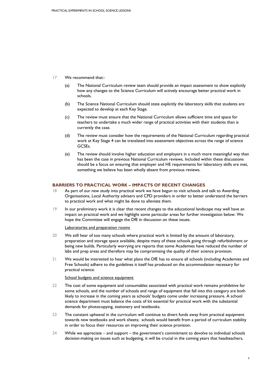- 17 We recommend that:-
	- (a) The National Curriculum review team should provide an impact assessment to show explicitly how any changes to the Science Curriculum will actively encourage better practical work in schools.
	- (b) The Science National Curriculum should state explicitly the laboratory skills that students are expected to develop at each Key Stage.
	- (c) The review must ensure that the National Curriculum allows sufficient time and space for teachers to undertake a much wider range of practical activities with their students than is currently the case.
	- (d) The review must consider how the requirements of the National Curriculum regarding practical work at Key Stage 4 can be translated into assessment objectives across the range of science GCSEs.
	- (e) The review should involve higher education and employers in a much more meaningful way than has been the case in previous National Curriculum reviews. Included within these discussions should be a focus on ensuring that employer and HE requirements for laboratory skills are met, something we believe has been wholly absent from previous reviews.

# **BARRIERS TO PRACTICAL WORK – IMPACTS OF RECENT CHANGES**

- 18 As part of our new study into practical work we have begun to visit schools and talk to Awarding Organisations, Local Authority advisers and CPD providers in order to better understand the barriers to practical work and what might be done to alleviate them.
- 19 In our preliminary work it is clear that recent changes to the educational landscape may well have an impact on practical work and we highlight some particular areas for further investigation below. We hope the Committee will engage the DfE in discussion on these issues.

Laboratories and preparation rooms

- 20 We still hear of too many schools where practical work is limited by the amount of laboratory, preparation and storage space available, despite many of these schools going through refurbishment or being new builds. Particularly worrying are reports that some Academies have reduced the number of labs and prep areas and therefore may be compromising the quality of their science provision.
- 21 We would be interested to hear what plans the DfE has to ensure all schools (including Academies and Free Schools) adhere to the guidelines it itself has produced on the accommodation necessary for practical science.

### School budgets and science equipment

- 22 The cost of some equipment and consumables associated with practical work remains prohibitive for some schools, and the number of schools and range of equipment that fall into this category are both likely to increase in the coming years as schools' budgets come under increasing pressure. A school science department must balance the costs of kit essential for practical work with the substantial demands for photocopying, stationery and textbooks.
- 23 The constant upheaval in the curriculum will continue to divert funds away from practical equipment towards new textbooks and work sheets; schools would benefit from a period of curriculum stability in order to focus their resources on improving their science provision.
- 24 While we appreciate and support the government's commitment to devolve to individual schools decision-making on issues such as budgeting, it will be crucial in the coming years that headteachers,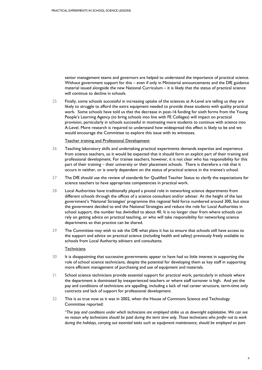senior management teams and governors are helped to understand the importance of practical science. Without government support for this – even if only in Ministerial announcements and the DfE guidance material issued alongside the new National Curriculum – it is likely that the status of practical science will continue to decline in schools.

25 Finally, some schools successful in increasing uptake of the sciences at A-Level are telling us they are likely to struggle to afford the extra equipment needed to provide these students with quality practical work. Some schools have told us that the decrease in post-16 funding for sixth forms from the Young People's Learning Agency (to bring schools into line with FE Colleges) will impact on practical provision, particularly in schools successful in motivating more students to continue with science into A-Level. More research is required to understand how widespread this effect is likely to be and we would encourage the Committee to explore this issue with its witnesses.

Teacher training and Professional Development

- 26 Teaching laboratory skills and undertaking practical experiments demands expertise and experience from science teachers, so it would be expected that it should form an explicit part of their training and professional development. For trainee teachers, however, it is not clear who has responsibility for this part of their training – their university or their placement schools. There is therefore a risk that it occurs in neither, or is overly dependent on the status of practical science in the trainee's school.
- 27 The DfE should use the review of standards for Qualified Teacher Status to clarify the expectations for science teachers to have appropriate competencies in practical work.
- 28 Local Authorities have traditionally played a pivotal role in networking science departments from different schools through the offices of a science consultant and/or adviser. At the height of the last government's 'National Strategies' programme this regional field force numbered around 300, but since the government decided to end the National Strategies and reduce the role for Local Authorities in school support, the number has dwindled to about 40. It is no longer clear from where schools can rely on getting advice on practical teaching, or who will take responsibility for networking science departments so that practice can be shared.
- 29 The Committee may wish to ask the DfE what plans it has to ensure that schools still have access to the support and advice on practical science (including health and safety) previously freely available to schools from Local Authority advisers and consultants.

### **Technicians**

- 30 It is disappointing that successive governments appear to have had so little interest in supporting the role of school science technicians, despite the potential for developing them as key staff in supporting more efficient management of purchasing and use of equipment and materials.
- 31 School science technicians provide essential support for practical work, particularly in schools where the department is dominated by inexperienced teachers or where staff turnover is high. And yet the pay and conditions of technicians are appalling, including a lack of real career structure, term-time only contracts and lack of support for professional development.
- 32 This is as true now as it was in 2002, when the House of Commons Science and Technology Committee reported:

*"The pay and conditions under which technicians are employed strike us as downright exploitative. We can see no reason why technicians should be paid during the term time only. Those technicians who prefer not to work during the holidays, carrying out essential tasks such as equipment maintenance, should be employed on part-*